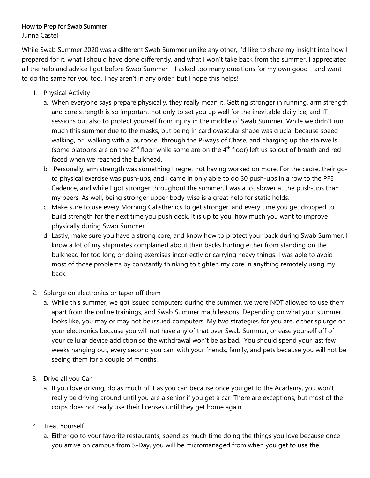## **How to Prep for Swab Summer**

Junna Castel

While Swab Summer 2020 was a different Swab Summer unlike any other, I'd like to share my insight into how I prepared for it, what I should have done differently, and what I won't take back from the summer. I appreciated all the help and advice I got before Swab Summer-- I asked too many questions for my own good—and want to do the same for you too. They aren't in any order, but I hope this helps!

- 1. Physical Activity
	- a. When everyone says prepare physically, they really mean it. Getting stronger in running, arm strength and core strength is so important not only to set you up well for the inevitable daily ice, and IT sessions but also to protect yourself from injury in the middle of Swab Summer. While we didn't run much this summer due to the masks, but being in cardiovascular shape was crucial because speed walking, or "walking with a purpose" through the P-ways of Chase, and charging up the stairwells (some platoons are on the  $2<sup>nd</sup>$  floor while some are on the  $4<sup>th</sup>$  floor) left us so out of breath and red faced when we reached the bulkhead.
	- b. Personally, arm strength was something I regret not having worked on more. For the cadre, their goto physical exercise was push-ups, and I came in only able to do 30 push-ups in a row to the PFE Cadence, and while I got stronger throughout the summer, I was a lot slower at the push-ups than my peers. As well, being stronger upper body-wise is a great help for static holds.
	- c. Make sure to use every Morning Calisthenics to get stronger, and every time you get dropped to build strength for the next time you push deck. It is up to you, how much you want to improve physically during Swab Summer.
	- d. Lastly, make sure you have a strong core, and know how to protect your back during Swab Summer. I know a lot of my shipmates complained about their backs hurting either from standing on the bulkhead for too long or doing exercises incorrectly or carrying heavy things. I was able to avoid most of those problems by constantly thinking to tighten my core in anything remotely using my back.
- 2. Splurge on electronics or taper off them
	- a. While this summer, we got issued computers during the summer, we were NOT allowed to use them apart from the online trainings, and Swab Summer math lessons. Depending on what your summer looks like, you may or may not be issued computers. My two strategies for you are, either splurge on your electronics because you will not have any of that over Swab Summer, or ease yourself off of your cellular device addiction so the withdrawal won't be as bad. You should spend your last few weeks hanging out, every second you can, with your friends, family, and pets because you will not be seeing them for a couple of months.
- 3. Drive all you Can
	- a. If you love driving, do as much of it as you can because once you get to the Academy, you won't really be driving around until you are a senior if you get a car. There are exceptions, but most of the corps does not really use their licenses until they get home again.
- 4. Treat Yourself
	- a. Either go to your favorite restaurants, spend as much time doing the things you love because once you arrive on campus from S-Day, you will be micromanaged from when you get to use the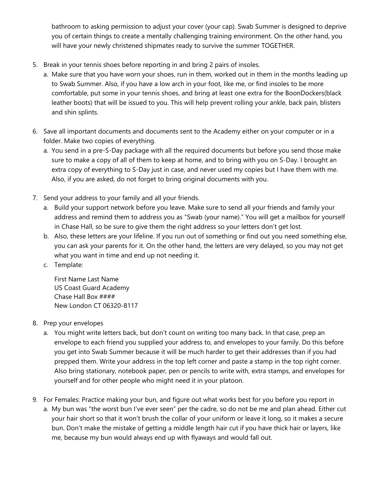bathroom to asking permission to adjust your cover (your cap). Swab Summer is designed to deprive you of certain things to create a mentally challenging training environment. On the other hand, you will have your newly christened shipmates ready to survive the summer TOGETHER.

- 5. Break in your tennis shoes before reporting in and bring 2 pairs of insoles.
	- a. Make sure that you have worn your shoes, run in them, worked out in them in the months leading up to Swab Summer. Also, if you have a low arch in your foot, like me, or find insoles to be more comfortable, put some in your tennis shoes, and bring at least one extra for the BoonDockers(black leather boots) that will be issued to you. This will help prevent rolling your ankle, back pain, blisters and shin splints.
- 6. Save all important documents and documents sent to the Academy either on your computer or in a folder. Make two copies of everything.
	- a. You send in a pre-S-Day package with all the required documents but before you send those make sure to make a copy of all of them to keep at home, and to bring with you on S-Day. I brought an extra copy of everything to S-Day just in case, and never used my copies but I have them with me. Also, if you are asked, do not forget to bring original documents with you.
- 7. Send your address to your family and all your friends.
	- a. Build your support network before you leave. Make sure to send all your friends and family your address and remind them to address you as "Swab (your name)." You will get a mailbox for yourself in Chase Hall, so be sure to give them the right address so your letters don't get lost.
	- b. Also, these letters are your lifeline. If you run out of something or find out you need something else, you can ask your parents for it. On the other hand, the letters are very delayed, so you may not get what you want in time and end up not needing it.
	- c. Template:

First Name Last Name US Coast Guard Academy Chase Hall Box #### New London CT 06320-8117

- 8. Prep your envelopes
	- a. You might write letters back, but don't count on writing too many back. In that case, prep an envelope to each friend you supplied your address to, and envelopes to your family. Do this before you get into Swab Summer because it will be much harder to get their addresses than if you had prepped them. Write your address in the top left corner and paste a stamp in the top right corner. Also bring stationary, notebook paper, pen or pencils to write with, extra stamps, and envelopes for yourself and for other people who might need it in your platoon.
- 9. For Females: Practice making your bun, and figure out what works best for you before you report in
	- a. My bun was "the worst bun I've ever seen" per the cadre, so do not be me and plan ahead. Either cut your hair short so that it won't brush the collar of your uniform or leave it long, so it makes a secure bun. Don't make the mistake of getting a middle length hair cut if you have thick hair or layers, like me, because my bun would always end up with flyaways and would fall out.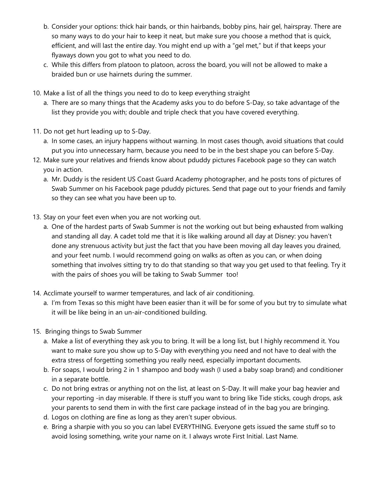- b. Consider your options: thick hair bands, or thin hairbands, bobby pins, hair gel, hairspray. There are so many ways to do your hair to keep it neat, but make sure you choose a method that is quick, efficient, and will last the entire day. You might end up with a "gel met," but if that keeps your flyaways down you got to what you need to do.
- c. While this differs from platoon to platoon, across the board, you will not be allowed to make a braided bun or use hairnets during the summer.
- 10. Make a list of all the things you need to do to keep everything straight
	- a. There are so many things that the Academy asks you to do before S-Day, so take advantage of the list they provide you with; double and triple check that you have covered everything.
- 11. Do not get hurt leading up to S-Day.
	- a. In some cases, an injury happens without warning. In most cases though, avoid situations that could put you into unnecessary harm, because you need to be in the best shape you can before S-Day.
- 12. Make sure your relatives and friends know about pduddy pictures Facebook page so they can watch you in action.
	- a. Mr. Duddy is the resident US Coast Guard Academy photographer, and he posts tons of pictures of Swab Summer on his Facebook page pduddy pictures. Send that page out to your friends and family so they can see what you have been up to.
- 13. Stay on your feet even when you are not working out.
	- a. One of the hardest parts of Swab Summer is not the working out but being exhausted from walking and standing all day. A cadet told me that it is like walking around all day at Disney: you haven't done any strenuous activity but just the fact that you have been moving all day leaves you drained, and your feet numb. I would recommend going on walks as often as you can, or when doing something that involves sitting try to do that standing so that way you get used to that feeling. Try it with the pairs of shoes you will be taking to Swab Summer too!
- 14. Acclimate yourself to warmer temperatures, and lack of air conditioning.
	- a. I'm from Texas so this might have been easier than it will be for some of you but try to simulate what it will be like being in an un-air-conditioned building.
- 15. Bringing things to Swab Summer
	- a. Make a list of everything they ask you to bring. It will be a long list, but I highly recommend it. You want to make sure you show up to S-Day with everything you need and not have to deal with the extra stress of forgetting something you really need, especially important documents.
	- b. For soaps, I would bring 2 in 1 shampoo and body wash (I used a baby soap brand) and conditioner in a separate bottle.
	- c. Do not bring extras or anything not on the list, at least on S-Day. It will make your bag heavier and your reporting -in day miserable. If there is stuff you want to bring like Tide sticks, cough drops, ask your parents to send them in with the first care package instead of in the bag you are bringing.
	- d. Logos on clothing are fine as long as they aren't super obvious.
	- e. Bring a sharpie with you so you can label EVERYTHING. Everyone gets issued the same stuff so to avoid losing something, write your name on it. I always wrote First Initial. Last Name.